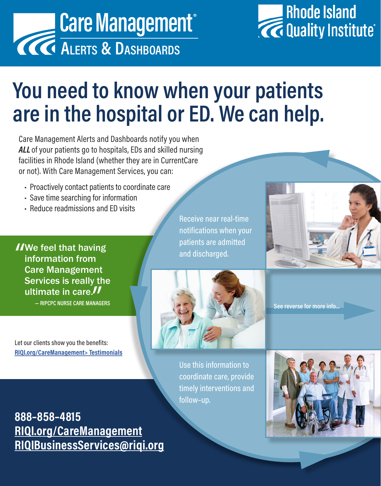



## **You need to know when your patients are in the hospital or ED. We can help.**

Care Management Alerts and Dashboards notify you when *ALL* of your patients go to hospitals, EDs and skilled nursing facilities in Rhode Island (whether they are in CurrentCare or not). With Care Management Services, you can:

- Proactively contact patients to coordinate care
- Save time searching for information
- Reduce readmissions and ED visits

INE feel that having<br>
information from<br>
Care Management information from Care Management Services is really the ultimate in care.

**— RIPCPC NURSE CARE MANAGERS**

Let our clients show you the benefits: **[RIQI.org/CareManagement> Testimonials](https://www.youtube.com/playlist?list=PLFc-Ka2m9nVRqNA_fmuDJ0qN9wO6FLwAg)** Receive near real-time notifications when your patients are admitted and discharged.



**See reverse for more info...**

Use this information to coordinate care, provide timely interventions and follow–up.



**888–858–4815 [RIQI.org/CareManagement](https://RIQI.org/CareManagement) [RIQIBusinessServices@riqi.org](mailto:RIQIBusinessServices%40riqi.org?subject=I%20want%20to%20learn%20more%20about%20RIQI%E2%80%99s%20Care%20Management%20Services)**